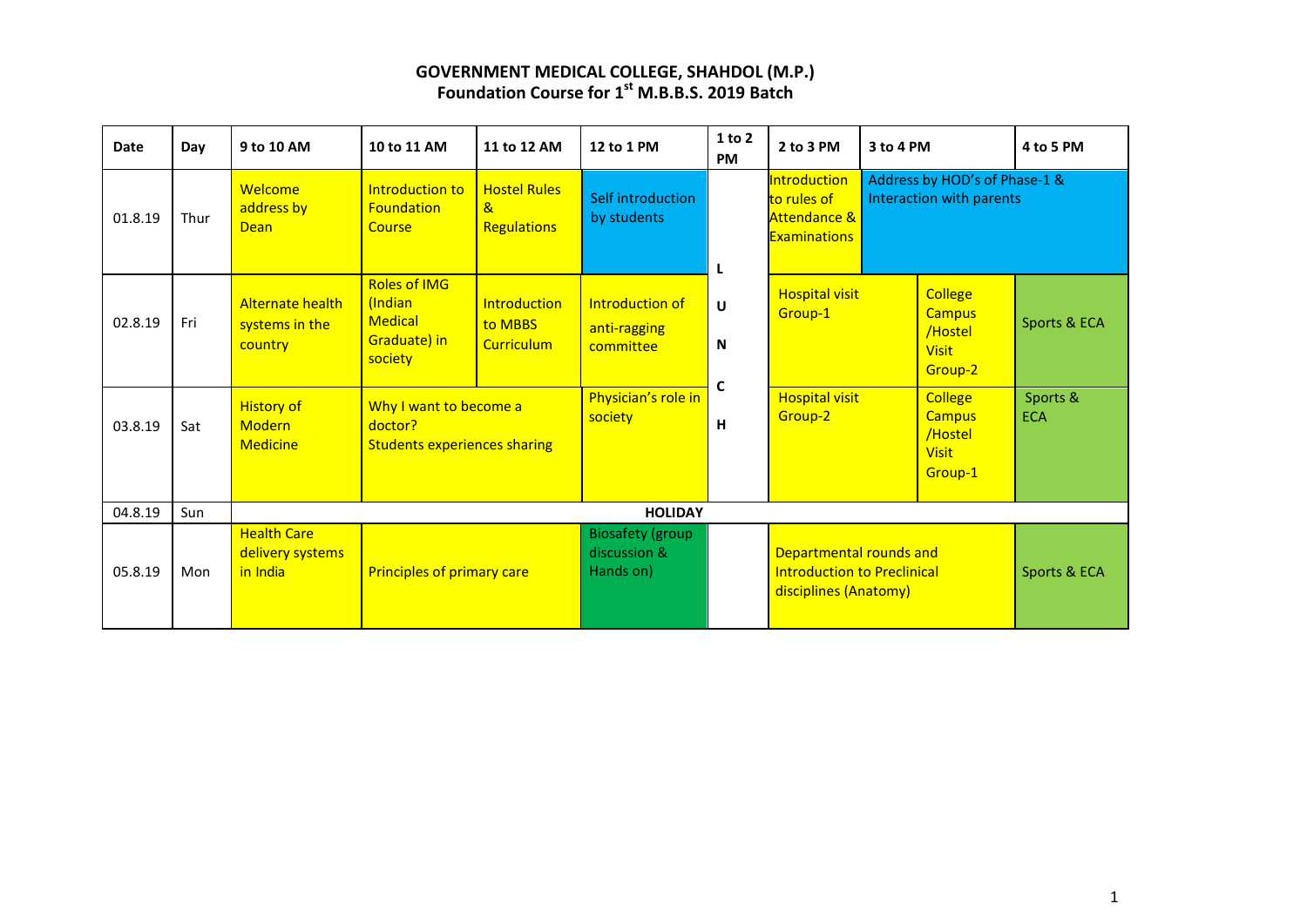| Date    | Day  | 9 to 10 AM                                            | 10 to 11 AM                                                                 | 11 to 12 AM                                               | 12 to 1 PM                                           | 1 to 2<br><b>PM</b> | 2 to 3 PM                                                                              | 3 to 4 PM |                                                                       | 4 to 5 PM              |
|---------|------|-------------------------------------------------------|-----------------------------------------------------------------------------|-----------------------------------------------------------|------------------------------------------------------|---------------------|----------------------------------------------------------------------------------------|-----------|-----------------------------------------------------------------------|------------------------|
| 01.8.19 | Thur | Welcome<br>address by<br><b>Dean</b>                  | Introduction to<br><b>Foundation</b><br>Course                              | <b>Hostel Rules</b><br>$\mathbf{a}$<br><b>Regulations</b> | Self introduction<br>by students                     | L                   | <b>Introduction</b><br>to rules of<br><b>Attendance &amp;</b><br><b>Examinations</b>   |           | Address by HOD's of Phase-1 &<br>Interaction with parents             |                        |
| 02.8.19 | Fri  | <b>Alternate health</b><br>systems in the<br>country  | <b>Roles of IMG</b><br>(Indian<br><b>Medical</b><br>Graduate) in<br>society | <b>Introduction</b><br>to MBBS<br><b>Curriculum</b>       | Introduction of<br>anti-ragging<br>committee         | U<br>N<br>C         | <b>Hospital visit</b><br>Group-1                                                       |           | <b>College</b><br><b>Campus</b><br>/Hostel<br><b>Visit</b><br>Group-2 | Sports & ECA           |
| 03.8.19 | Sat  | <b>History of</b><br><b>Modern</b><br><b>Medicine</b> | Why I want to become a<br>doctor?<br><b>Students experiences sharing</b>    |                                                           | Physician's role in<br>society                       | н                   | <b>Hospital visit</b><br>Group-2                                                       |           | <b>College</b><br><b>Campus</b><br>/Hostel<br><b>Visit</b><br>Group-1 | Sports &<br><b>ECA</b> |
| 04.8.19 | Sun  |                                                       |                                                                             |                                                           | <b>HOLIDAY</b>                                       |                     |                                                                                        |           |                                                                       |                        |
| 05.8.19 | Mon  | <b>Health Care</b><br>delivery systems<br>in India    | Principles of primary care                                                  |                                                           | <b>Biosafety (group</b><br>discussion &<br>Hands on) |                     | Departmental rounds and<br><b>Introduction to Preclinical</b><br>disciplines (Anatomy) |           |                                                                       | Sports & ECA           |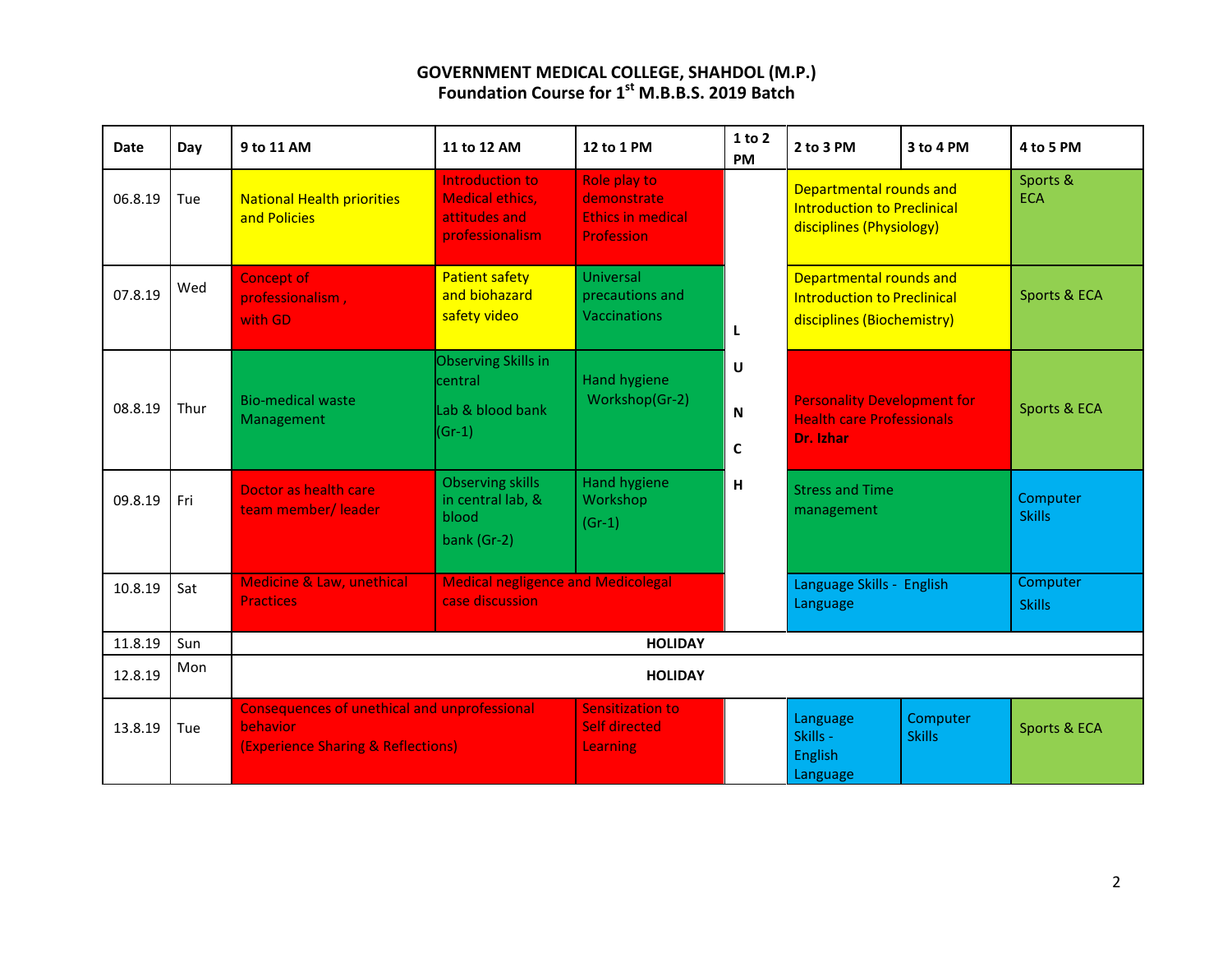| <b>Date</b> | Day  | 9 to 11 AM                                                                                            | 11 to 12 AM                                                                   | 12 to 1 PM                                                                               | 1 to 2<br><b>PM</b>                         | 2 to 3 PM                                                                                   | 3 to 4 PM    | 4 to 5 PM                 |  |
|-------------|------|-------------------------------------------------------------------------------------------------------|-------------------------------------------------------------------------------|------------------------------------------------------------------------------------------|---------------------------------------------|---------------------------------------------------------------------------------------------|--------------|---------------------------|--|
| 06.8.19     | Tue  | <b>National Health priorities</b><br>and Policies                                                     | Introduction to<br><b>Medical ethics,</b><br>attitudes and<br>professionalism | Role play to<br>demonstrate<br><b>Ethics in medical</b><br><b>Profession</b>             |                                             | Departmental rounds and<br><b>Introduction to Preclinical</b><br>disciplines (Physiology)   |              | Sports &<br><b>ECA</b>    |  |
| 07.8.19     | Wed  | <b>Concept of</b><br>professionalism,<br>with GD.                                                     | <b>Patient safety</b><br>and biohazard<br>safety video                        | <b>Universal</b><br>precautions and<br><b>Vaccinations</b>                               | L                                           | Departmental rounds and<br><b>Introduction to Preclinical</b><br>disciplines (Biochemistry) |              | Sports & ECA              |  |
| 08.8.19     | Thur | <b>Bio-medical waste</b><br>Management                                                                | Observing Skills in<br>central<br>Lab & blood bank<br>$(Gr-1)$                | Hand hygiene<br>Workshop(Gr-2)                                                           | $\cup$<br>$\mathsf N$<br>$\mathbf c$        | <b>Personality Development for</b><br><b>Health care Professionals</b><br>Dr. Izhar         |              | Sports & ECA              |  |
| 09.8.19     | Fri  | Doctor as health care<br>team member/leader                                                           | <b>Observing skills</b><br>in central lab, &<br>blood<br>bank (Gr-2)          | <b>Hand hygiene</b><br>H<br><b>Stress and Time</b><br>Workshop<br>management<br>$(Gr-1)$ |                                             | Computer<br><b>Skills</b>                                                                   |              |                           |  |
| 10.8.19     | Sat  | Medicine & Law, unethical<br><b>Practices</b>                                                         | <b>Medical negligence and Medicolegal</b><br>case discussion                  |                                                                                          |                                             | Language Skills - English<br>Language                                                       |              | Computer<br><b>Skills</b> |  |
| 11.8.19     | Sun  | <b>HOLIDAY</b>                                                                                        |                                                                               |                                                                                          |                                             |                                                                                             |              |                           |  |
| 12.8.19     | Mon  | <b>HOLIDAY</b>                                                                                        |                                                                               |                                                                                          |                                             |                                                                                             |              |                           |  |
| 13.8.19     | Tue  | <b>Consequences of unethical and unprofessional</b><br>behavior<br>(Experience Sharing & Reflections) | Sensitization to<br><b>Self directed</b><br>Learning                          |                                                                                          | Language<br>Skills -<br>English<br>Language | Computer<br><b>Skills</b>                                                                   | Sports & ECA |                           |  |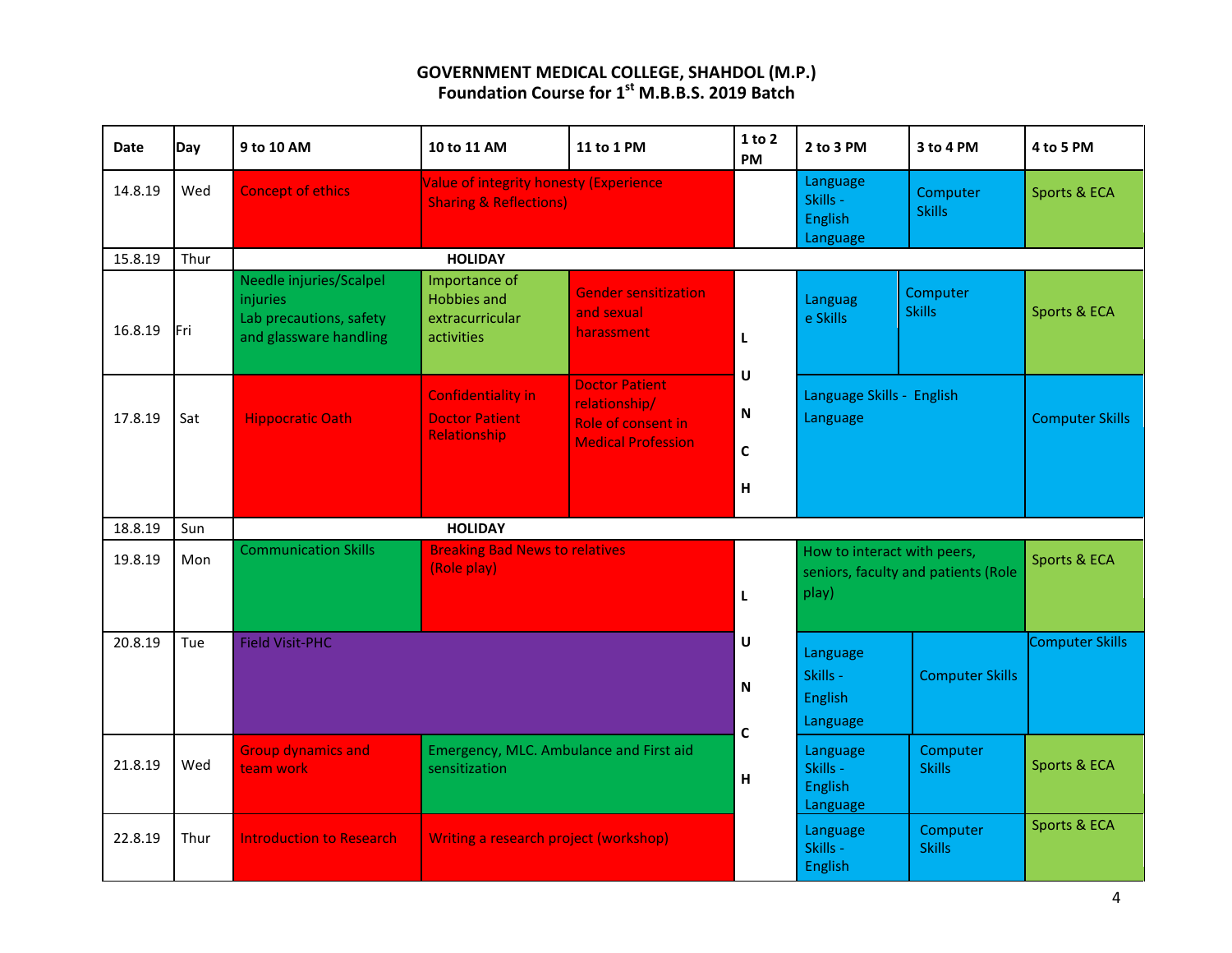| <b>Date</b> | Day        | 9 to 10 AM                                                                               | 10 to 11 AM                                                                         | 11 to 1 PM                                                                                | 1 to 2<br><b>PM</b>                           | 2 to 3 PM                                          | 3 to 4 PM                           | 4 to 5 PM              |
|-------------|------------|------------------------------------------------------------------------------------------|-------------------------------------------------------------------------------------|-------------------------------------------------------------------------------------------|-----------------------------------------------|----------------------------------------------------|-------------------------------------|------------------------|
| 14.8.19     | Wed        | <b>Concept of ethics</b>                                                                 | <b>Value of integrity honesty (Experience)</b><br><b>Sharing &amp; Reflections)</b> |                                                                                           |                                               | Language<br>Skills -<br>English<br>Language        | Computer<br><b>Skills</b>           | Sports & ECA           |
| 15.8.19     | Thur       | <b>HOLIDAY</b>                                                                           |                                                                                     |                                                                                           |                                               |                                                    |                                     |                        |
| 16.8.19     | lFri       | Needle injuries/Scalpel<br>injuries<br>Lab precautions, safety<br>and glassware handling | Importance of<br><b>Hobbies and</b><br>extracurricular<br>activities                | <b>Gender sensitization</b><br>and sexual<br>harassment                                   | L                                             | Languag<br>e Skills                                | Computer<br><b>Skills</b>           | Sports & ECA           |
| 17.8.19     | Sat        | <b>Hippocratic Oath</b>                                                                  | <b>Confidentiality in</b><br><b>Doctor Patient</b><br>Relationship                  | <b>Doctor Patient</b><br>relationship/<br>Role of consent in<br><b>Medical Profession</b> | $\mathsf{U}$<br>${\sf N}$<br>$\mathbf c$<br>н | Language Skills - English<br>Language              |                                     | <b>Computer Skills</b> |
| 18.8.19     | Sun        |                                                                                          | <b>HOLIDAY</b>                                                                      |                                                                                           |                                               |                                                    |                                     |                        |
| 19.8.19     | Mon        | <b>Communication Skills</b>                                                              | <b>Breaking Bad News to relatives</b><br>(Role play)                                |                                                                                           | L                                             | How to interact with peers,<br>play)               | seniors, faculty and patients (Role | Sports & ECA           |
| 20.8.19     | <b>Tue</b> | <b>Field Visit-PHC</b>                                                                   |                                                                                     |                                                                                           |                                               | Language<br>Skills -<br><b>English</b><br>Language | <b>Computer Skills</b>              | <b>Computer Skills</b> |
| 21.8.19     | Wed        | <b>Group dynamics and</b><br>team work                                                   | Emergency, MLC. Ambulance and First aid<br>sensitization                            | $\mathsf{C}$<br>H                                                                         | Language<br>Skills -<br>English<br>Language   | Computer<br><b>Skills</b>                          | Sports & ECA                        |                        |
| 22.8.19     | Thur       | <b>Introduction to Research</b>                                                          | Writing a research project (workshop)                                               |                                                                                           | Language<br>Skills -<br>English               | Computer<br><b>Skills</b>                          | Sports & ECA                        |                        |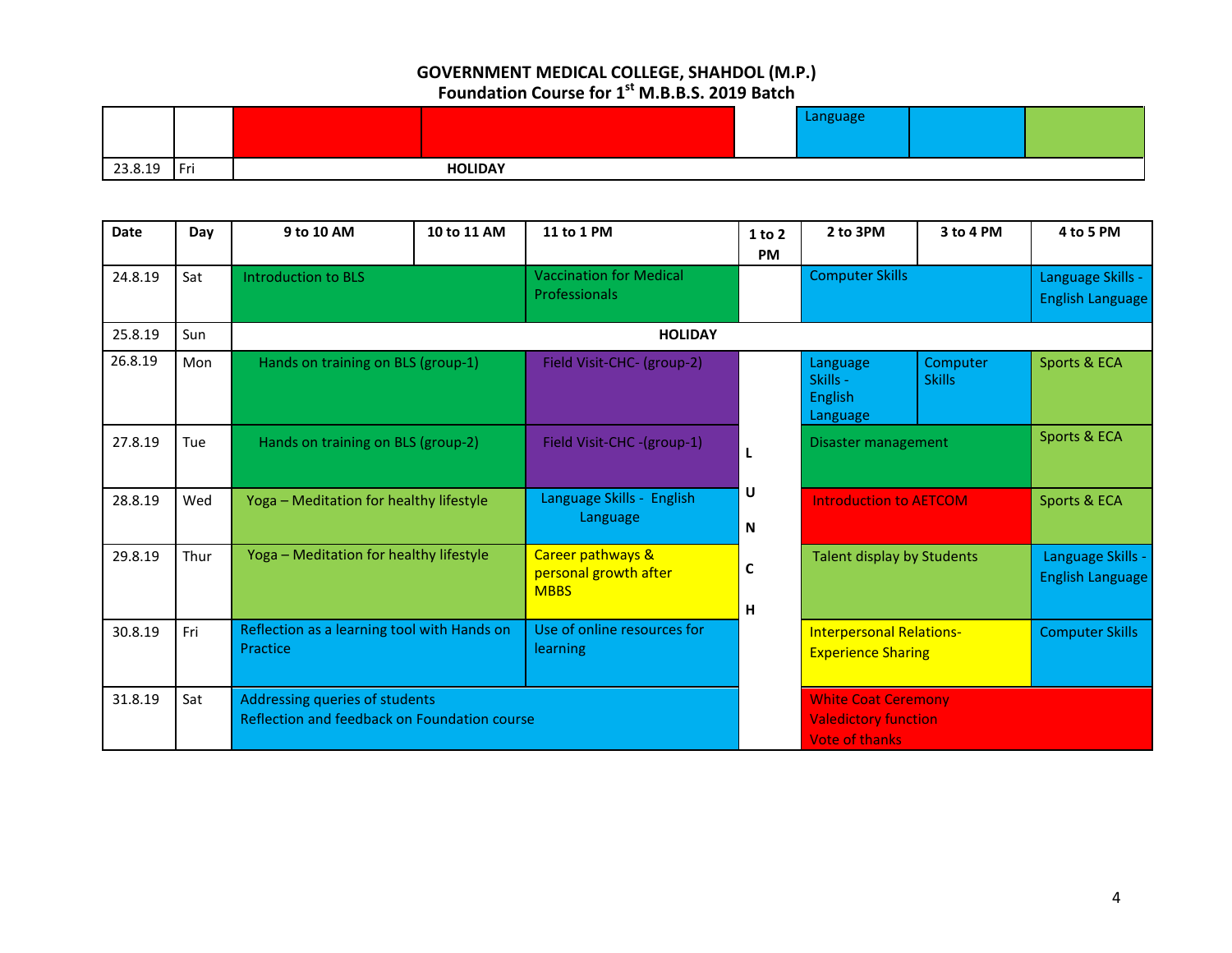|                              |     |                | ממכוומר |  |
|------------------------------|-----|----------------|---------|--|
|                              |     |                |         |  |
| ົາລ<br><b>010</b><br>20.0.10 | Fri | <b>HOLIDAY</b> |         |  |

| <b>Date</b> | Day  | 9 to 10 AM                                                                     | 10 to 11 AM | 11 to 1 PM                                                | 1 to 2<br><b>PM</b> | 2 to 3PM                                                                           | 3 to 4 PM                     | 4 to 5 PM                             |  |
|-------------|------|--------------------------------------------------------------------------------|-------------|-----------------------------------------------------------|---------------------|------------------------------------------------------------------------------------|-------------------------------|---------------------------------------|--|
| 24.8.19     | Sat  | <b>Introduction to BLS</b>                                                     |             | <b>Vaccination for Medical</b><br><b>Professionals</b>    |                     | <b>Computer Skills</b>                                                             |                               | Language Skills -<br>English Language |  |
| 25.8.19     | Sun  |                                                                                |             | <b>HOLIDAY</b>                                            |                     |                                                                                    |                               |                                       |  |
| 26.8.19     | Mon  | Hands on training on BLS (group-1)                                             |             | Field Visit-CHC- (group-2)                                |                     | Language<br>Skills -<br><b>English</b><br>Language                                 | Computer<br><b>Skills</b>     | Sports & ECA                          |  |
| 27.8.19     | Tue  | Hands on training on BLS (group-2)                                             |             | Field Visit-CHC -(group-1)                                | L                   | Disaster management                                                                |                               | Sports & ECA                          |  |
| 28.8.19     | Wed  | Yoga - Meditation for healthy lifestyle                                        |             | Language Skills - English<br>Language                     | U<br>N              |                                                                                    | <b>Introduction to AETCOM</b> |                                       |  |
| 29.8.19     | Thur | Yoga - Meditation for healthy lifestyle                                        |             | Career pathways &<br>personal growth after<br><b>MBBS</b> | C<br>н              | Talent display by Students                                                         |                               | Language Skills -<br>English Language |  |
| 30.8.19     | Fri  | Reflection as a learning tool with Hands on<br>Practice                        |             | Use of online resources for<br>learning                   |                     | <b>Interpersonal Relations-</b><br><b>Experience Sharing</b>                       |                               | <b>Computer Skills</b>                |  |
| 31.8.19     | Sat  | Addressing queries of students<br>Reflection and feedback on Foundation course |             |                                                           |                     | <b>White Coat Ceremony</b><br><b>Valedictory function</b><br><b>Vote of thanks</b> |                               |                                       |  |